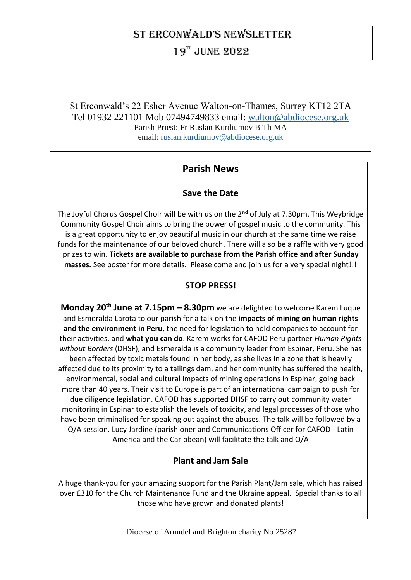# St Erconwald's nEwslEttEr

19TH JUNE 2022

St Erconwald's 22 Esher Avenue Walton-on-Thames, Surrey KT12 2TA Tel 01932 221101 Mob 07494749833 email: [walton@abdiocese.org.uk](mailto:walton@abdiocese.org.uk) Parish Priest: Fr Ruslan Kurdiumov B Th MA email: [ruslan.kurdiumov@abdiocese.org.uk](mailto:ruslan.kurdiumov@abdiocese.org.uk)

# **Parish News**

# **Save the Date**

The Joyful Chorus Gospel Choir will be with us on the 2<sup>nd</sup> of July at 7.30pm. This Weybridge Community Gospel Choir aims to bring the power of gospel music to the community. This is a great opportunity to enjoy beautiful music in our church at the same time we raise funds for the maintenance of our beloved church. There will also be a raffle with very good prizes to win. **Tickets are available to purchase from the Parish office and after Sunday masses.** See poster for more details. Please come and join us for a very special night!!!

# **STOP PRESS!**

**Monday 20th June at 7.15pm – 8.30pm** we are delighted to welcome Karem Luque and Esmeralda Larota to our parish for a talk on the **impacts of mining on human rights and the environment in Peru**, the need for legislation to hold companies to account for their activities, and **what you can do**. Karem works for CAFOD Peru partner *Human Rights without Borders* (DHSF), and Esmeralda is a community leader from Espinar, Peru. She has been affected by toxic metals found in her body, as she lives in a zone that is heavily affected due to its proximity to a tailings dam, and her community has suffered the health, environmental, social and cultural impacts of mining operations in Espinar, going back more than 40 years. Their visit to Europe is part of an international campaign to push for due diligence legislation. CAFOD has supported DHSF to carry out community water monitoring in Espinar to establish the levels of toxicity, and legal processes of those who have been criminalised for speaking out against the abuses. The talk will be followed by a Q/A session. Lucy Jardine (parishioner and Communications Officer for CAFOD - Latin America and the Caribbean) will facilitate the talk and Q/A

# **Plant and Jam Sale**

A huge thank-you for your amazing support for the Parish Plant/Jam sale, which has raised over £310 for the Church Maintenance Fund and the Ukraine appeal. Special thanks to all those who have grown and donated plants!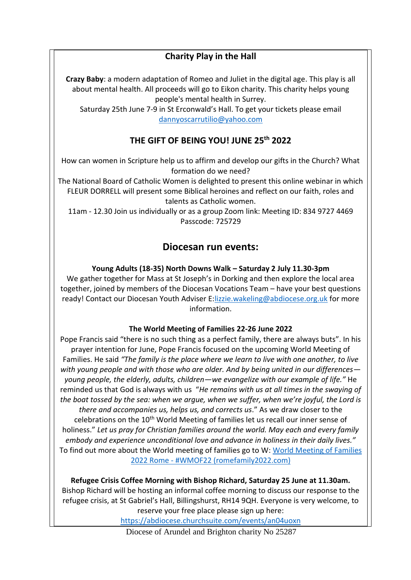# **Charity Play in the Hall**

**Crazy Baby**: a modern adaptation of Romeo and Juliet in the digital age. This play is all about mental health. All proceeds will go to Eikon charity. This charity helps young people's mental health in Surrey.

Saturday 25th June 7-9 in St Erconwald's Hall. To get your tickets please email [dannyoscarrutilio@yahoo.com](mailto:dannyoscarrutilio@yahoo.com)

# **THE GIFT OF BEING YOU! JUNE 25th 2022**

How can women in Scripture help us to affirm and develop our gifts in the Church? What formation do we need?

The National Board of Catholic Women is delighted to present this online webinar in which FLEUR DORRELL will present some Biblical heroines and reflect on our faith, roles and talents as Catholic women.

11am - 12.30 Join us individually or as a group Zoom link: Meeting ID: 834 9727 4469 Passcode: 725729

# **Diocesan run events:**

## **Young Adults (18-35) North Downs Walk – Saturday 2 July 11.30-3pm**

We gather together for Mass at St Joseph's in Dorking and then explore the local area together, joined by members of the Diocesan Vocations Team – have your best questions ready! Contact our Diocesan Youth Adviser E[:lizzie.wakeling@abdiocese.org.uk](mailto:lizzie.wakeling@abdiocese.org.uk) for more information.

#### **The World Meeting of Families 22-26 June 2022**

Pope Francis said "there is no such thing as a perfect family, there are always buts". In his prayer intention for June, Pope Francis focused on the upcoming World Meeting of Families. He said *"The family is the place where we learn to live with one another, to live with young people and with those who are older. And by being united in our differences young people, the elderly, adults, children—we evangelize with our example of life."* He reminded us that God is always with us "*He remains with us at all times in the swaying of the boat tossed by the sea: when we argue, when we suffer, when we're joyful, the Lord is there and accompanies us, helps us, and corrects us*." As we draw closer to the celebrations on the 10<sup>th</sup> World Meeting of families let us recall our inner sense of holiness." *Let us pray for Christian families around the world. May each and every family embody and experience unconditional love and advance in holiness in their daily lives."* To find out more about the World meeting of families go to W: [World Meeting of Families](https://www.romefamily2022.com/en/)  2022 Rome - [#WMOF22 \(romefamily2022.com\)](https://www.romefamily2022.com/en/)

**Refugee Crisis Coffee Morning with Bishop Richard, Saturday 25 June at 11.30am.** Bishop Richard will be hosting an informal coffee morning to discuss our response to the refugee crisis, at St Gabriel's Hall, Billingshurst, RH14 9QH. Everyone is very welcome, to reserve your free place please sign up here:

<https://abdiocese.churchsuite.com/events/an04uoxn>

Diocese of Arundel and Brighton charity No 25287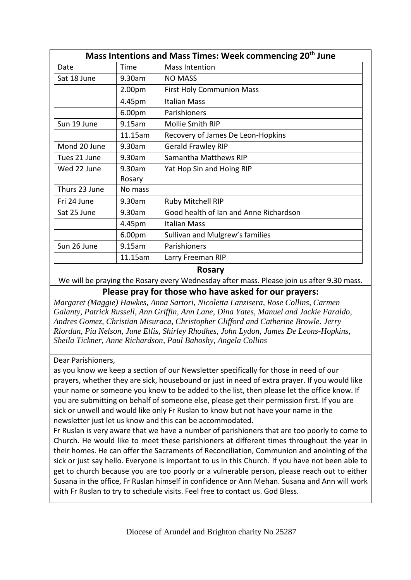| Mass Intentions and Mass Times: Week commencing 20 <sup>th</sup> June |                    |                                        |  |  |
|-----------------------------------------------------------------------|--------------------|----------------------------------------|--|--|
| Date                                                                  | Time               | Mass Intention                         |  |  |
| Sat 18 June                                                           | 9.30am             | <b>NO MASS</b>                         |  |  |
|                                                                       | 2.00 <sub>pm</sub> | <b>First Holy Communion Mass</b>       |  |  |
|                                                                       | 4.45pm             | Italian Mass                           |  |  |
|                                                                       | 6.00pm             | Parishioners                           |  |  |
| Sun 19 June                                                           | 9.15am             | Mollie Smith RIP                       |  |  |
|                                                                       | 11.15am            | Recovery of James De Leon-Hopkins      |  |  |
| Mond 20 June                                                          | 9.30am             | <b>Gerald Frawley RIP</b>              |  |  |
| Tues 21 June                                                          | 9.30am             | Samantha Matthews RIP                  |  |  |
| Wed 22 June                                                           | 9.30am             | Yat Hop Sin and Hoing RIP              |  |  |
|                                                                       | Rosary             |                                        |  |  |
| Thurs 23 June                                                         | No mass            |                                        |  |  |
| Fri 24 June                                                           | 9.30am             | Ruby Mitchell RIP                      |  |  |
| Sat 25 June                                                           | 9.30am             | Good health of Ian and Anne Richardson |  |  |
|                                                                       | 4.45pm             | Italian Mass                           |  |  |
|                                                                       | 6.00 <sub>pm</sub> | Sullivan and Mulgrew's families        |  |  |
| Sun 26 June                                                           | 9.15am             | Parishioners                           |  |  |
|                                                                       | 11.15am            | Larry Freeman RIP                      |  |  |

#### **Rosary**

We will be praying the Rosary every Wednesday after mass. Please join us after 9.30 mass.

## **Please pray for those who have asked for our prayers:**

*Margaret (Maggie) Hawkes, Anna Sartori, Nicoletta Lanzisera, Rose Collins, Carmen Galanty, Patrick Russell, Ann Griffin, Ann Lane, Dina Yates, Manuel and Jackie Faraldo, Andres Gomez, Christian Misuraca, Christopher Clifford and Catherine Browle. Jerry Riordan, Pia Nelson, June Ellis, Shirley Rhodhes, John Lydon, James De Leons-Hopkins, Sheila Tickner, Anne Richardson, Paul Bahoshy, Angela Collins*

#### Dear Parishioners,

as you know we keep a section of our Newsletter specifically for those in need of our prayers, whether they are sick, housebound or just in need of extra prayer. If you would like your name or someone you know to be added to the list, then please let the office know. If you are submitting on behalf of someone else, please get their permission first. If you are sick or unwell and would like only Fr Ruslan to know but not have your name in the newsletter just let us know and this can be accommodated.

Fr Ruslan is very aware that we have a number of parishioners that are too poorly to come to Church. He would like to meet these parishioners at different times throughout the year in their homes. He can offer the Sacraments of Reconciliation, Communion and anointing of the sick or just say hello. Everyone is important to us in this Church. If you have not been able to get to church because you are too poorly or a vulnerable person, please reach out to either Susana in the office, Fr Ruslan himself in confidence or Ann Mehan. Susana and Ann will work with Fr Ruslan to try to schedule visits. Feel free to contact us. God Bless.